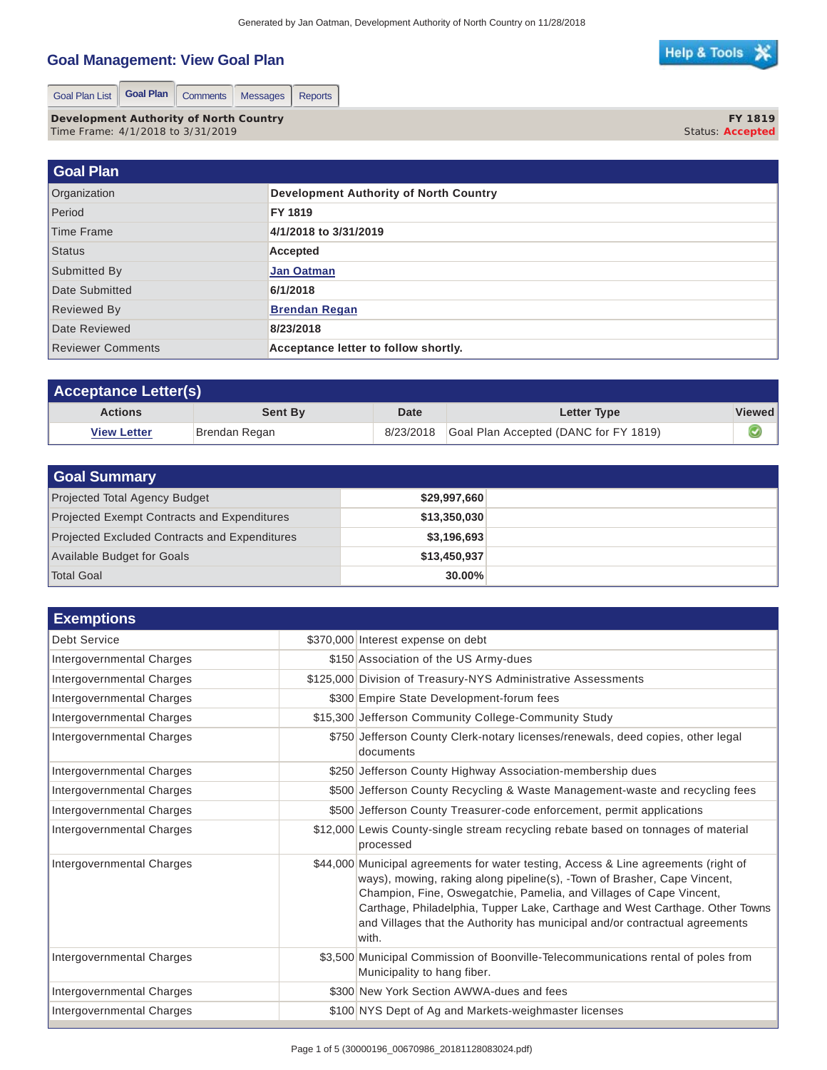## **Goal Management: View Goal Plan**

|  | Help & Tools ※ |
|--|----------------|
|  |                |
|  |                |

Goal Plan List | Goal Plan | Comments | Messages | Reports

**Development Authority of North Country** Time Frame: 4/1/2018 to 3/31/2019

**FY 1819** Status: **Accepted**

| Goal Plan                |                                               |
|--------------------------|-----------------------------------------------|
| Organization             | <b>Development Authority of North Country</b> |
| Period                   | FY 1819                                       |
| Time Frame               | 4/1/2018 to 3/31/2019                         |
| Status                   | Accepted                                      |
| Submitted By             | <b>Jan Oatman</b>                             |
| Date Submitted           | 6/1/2018                                      |
| <b>Reviewed By</b>       | <b>Brendan Regan</b>                          |
| Date Reviewed            | 8/23/2018                                     |
| <b>Reviewer Comments</b> | Acceptance letter to follow shortly.          |

| <b>Acceptance Letter(s)</b> |                |           |                                       |               |
|-----------------------------|----------------|-----------|---------------------------------------|---------------|
| <b>Actions</b>              | <b>Sent By</b> | Date      | Letter Type                           | <b>Viewed</b> |
| <b>View Letter</b>          | Brendan Regan  | 8/23/2018 | Goal Plan Accepted (DANC for FY 1819) |               |

| <b>Goal Summary</b>                                  |              |  |
|------------------------------------------------------|--------------|--|
| <b>Projected Total Agency Budget</b>                 | \$29,997,660 |  |
| <b>Projected Exempt Contracts and Expenditures</b>   | \$13,350,030 |  |
| <b>Projected Excluded Contracts and Expenditures</b> | \$3,196,693  |  |
| Available Budget for Goals                           | \$13,450,937 |  |
| <b>Total Goal</b>                                    | $30.00\%$    |  |

| <b>Exemptions</b>                |                                                                                                                                                                                                                                                                                                                                                                                                                |
|----------------------------------|----------------------------------------------------------------------------------------------------------------------------------------------------------------------------------------------------------------------------------------------------------------------------------------------------------------------------------------------------------------------------------------------------------------|
| <b>Debt Service</b>              | \$370,000 Interest expense on debt                                                                                                                                                                                                                                                                                                                                                                             |
| Intergovernmental Charges        | \$150 Association of the US Army-dues                                                                                                                                                                                                                                                                                                                                                                          |
| Intergovernmental Charges        | \$125,000 Division of Treasury-NYS Administrative Assessments                                                                                                                                                                                                                                                                                                                                                  |
| Intergovernmental Charges        | \$300 Empire State Development-forum fees                                                                                                                                                                                                                                                                                                                                                                      |
| Intergovernmental Charges        | \$15,300 Jefferson Community College-Community Study                                                                                                                                                                                                                                                                                                                                                           |
| <b>Intergovernmental Charges</b> | \$750 Jefferson County Clerk-notary licenses/renewals, deed copies, other legal<br>documents                                                                                                                                                                                                                                                                                                                   |
| Intergovernmental Charges        | \$250 Jefferson County Highway Association-membership dues                                                                                                                                                                                                                                                                                                                                                     |
| Intergovernmental Charges        | \$500 Jefferson County Recycling & Waste Management-waste and recycling fees                                                                                                                                                                                                                                                                                                                                   |
| Intergovernmental Charges        | \$500 Jefferson County Treasurer-code enforcement, permit applications                                                                                                                                                                                                                                                                                                                                         |
| Intergovernmental Charges        | \$12,000 Lewis County-single stream recycling rebate based on tonnages of material<br>processed                                                                                                                                                                                                                                                                                                                |
| Intergovernmental Charges        | \$44,000 Municipal agreements for water testing, Access & Line agreements (right of<br>ways), mowing, raking along pipeline(s), -Town of Brasher, Cape Vincent,<br>Champion, Fine, Oswegatchie, Pamelia, and Villages of Cape Vincent,<br>Carthage, Philadelphia, Tupper Lake, Carthage and West Carthage. Other Towns<br>and Villages that the Authority has municipal and/or contractual agreements<br>with. |
| Intergovernmental Charges        | \$3,500 Municipal Commission of Boonville-Telecommunications rental of poles from<br>Municipality to hang fiber.                                                                                                                                                                                                                                                                                               |
| Intergovernmental Charges        | \$300 New York Section AWWA-dues and fees                                                                                                                                                                                                                                                                                                                                                                      |
| Intergovernmental Charges        | \$100 NYS Dept of Ag and Markets-weighmaster licenses                                                                                                                                                                                                                                                                                                                                                          |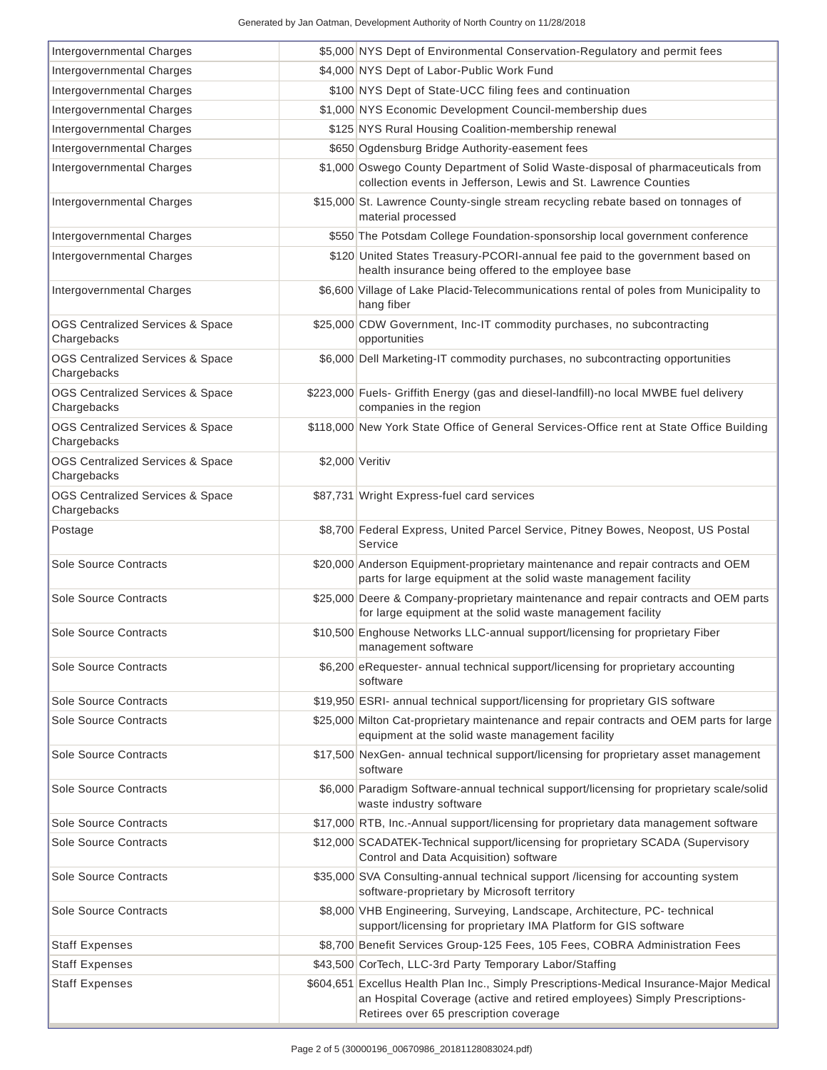| Intergovernmental Charges                                  |                 | \$5,000 NYS Dept of Environmental Conservation-Regulatory and permit fees                                                                                                                                        |  |
|------------------------------------------------------------|-----------------|------------------------------------------------------------------------------------------------------------------------------------------------------------------------------------------------------------------|--|
| Intergovernmental Charges                                  |                 | \$4,000 NYS Dept of Labor-Public Work Fund                                                                                                                                                                       |  |
| Intergovernmental Charges                                  |                 | \$100 NYS Dept of State-UCC filing fees and continuation                                                                                                                                                         |  |
| Intergovernmental Charges                                  |                 | \$1,000 NYS Economic Development Council-membership dues                                                                                                                                                         |  |
| Intergovernmental Charges                                  |                 | \$125 NYS Rural Housing Coalition-membership renewal                                                                                                                                                             |  |
| Intergovernmental Charges                                  |                 | \$650 Ogdensburg Bridge Authority-easement fees                                                                                                                                                                  |  |
| Intergovernmental Charges                                  |                 | \$1,000 Oswego County Department of Solid Waste-disposal of pharmaceuticals from<br>collection events in Jefferson, Lewis and St. Lawrence Counties                                                              |  |
| Intergovernmental Charges                                  |                 | \$15,000 St. Lawrence County-single stream recycling rebate based on tonnages of<br>material processed                                                                                                           |  |
| Intergovernmental Charges                                  |                 | \$550 The Potsdam College Foundation-sponsorship local government conference                                                                                                                                     |  |
| Intergovernmental Charges                                  |                 | \$120 United States Treasury-PCORI-annual fee paid to the government based on<br>health insurance being offered to the employee base                                                                             |  |
| Intergovernmental Charges                                  |                 | \$6,600 Village of Lake Placid-Telecommunications rental of poles from Municipality to<br>hang fiber                                                                                                             |  |
| OGS Centralized Services & Space<br>Chargebacks            |                 | \$25,000 CDW Government, Inc-IT commodity purchases, no subcontracting<br>opportunities                                                                                                                          |  |
| <b>OGS Centralized Services &amp; Space</b><br>Chargebacks |                 | \$6,000 Dell Marketing-IT commodity purchases, no subcontracting opportunities                                                                                                                                   |  |
| <b>OGS Centralized Services &amp; Space</b><br>Chargebacks |                 | \$223,000 Fuels- Griffith Energy (gas and diesel-landfill)-no local MWBE fuel delivery<br>companies in the region                                                                                                |  |
| OGS Centralized Services & Space<br>Chargebacks            |                 | \$118,000 New York State Office of General Services-Office rent at State Office Building                                                                                                                         |  |
| OGS Centralized Services & Space<br>Chargebacks            | \$2,000 Veritiv |                                                                                                                                                                                                                  |  |
| <b>OGS Centralized Services &amp; Space</b><br>Chargebacks |                 | \$87,731 Wright Express-fuel card services                                                                                                                                                                       |  |
| Postage                                                    |                 | \$8,700 Federal Express, United Parcel Service, Pitney Bowes, Neopost, US Postal<br>Service                                                                                                                      |  |
| Sole Source Contracts                                      |                 | \$20,000 Anderson Equipment-proprietary maintenance and repair contracts and OEM<br>parts for large equipment at the solid waste management facility                                                             |  |
| Sole Source Contracts                                      |                 | \$25,000 Deere & Company-proprietary maintenance and repair contracts and OEM parts<br>for large equipment at the solid waste management facility                                                                |  |
| Sole Source Contracts                                      |                 | \$10,500 Enghouse Networks LLC-annual support/licensing for proprietary Fiber<br>management software                                                                                                             |  |
| Sole Source Contracts                                      |                 | \$6,200 eRequester- annual technical support/licensing for proprietary accounting<br>software                                                                                                                    |  |
| Sole Source Contracts                                      |                 | \$19,950 ESRI- annual technical support/licensing for proprietary GIS software                                                                                                                                   |  |
| Sole Source Contracts                                      |                 | \$25,000 Milton Cat-proprietary maintenance and repair contracts and OEM parts for large<br>equipment at the solid waste management facility                                                                     |  |
| Sole Source Contracts                                      |                 | \$17,500 NexGen- annual technical support/licensing for proprietary asset management<br>software                                                                                                                 |  |
| Sole Source Contracts                                      |                 | \$6,000 Paradigm Software-annual technical support/licensing for proprietary scale/solid<br>waste industry software                                                                                              |  |
| Sole Source Contracts                                      |                 | \$17,000 RTB, Inc.-Annual support/licensing for proprietary data management software                                                                                                                             |  |
| Sole Source Contracts                                      |                 | \$12,000 SCADATEK-Technical support/licensing for proprietary SCADA (Supervisory<br>Control and Data Acquisition) software                                                                                       |  |
| Sole Source Contracts                                      |                 | \$35,000 SVA Consulting-annual technical support /licensing for accounting system<br>software-proprietary by Microsoft territory                                                                                 |  |
| Sole Source Contracts                                      |                 | \$8,000 VHB Engineering, Surveying, Landscape, Architecture, PC- technical<br>support/licensing for proprietary IMA Platform for GIS software                                                                    |  |
| <b>Staff Expenses</b>                                      |                 | \$8,700 Benefit Services Group-125 Fees, 105 Fees, COBRA Administration Fees                                                                                                                                     |  |
| <b>Staff Expenses</b>                                      |                 | \$43,500 CorTech, LLC-3rd Party Temporary Labor/Staffing                                                                                                                                                         |  |
| <b>Staff Expenses</b>                                      |                 | \$604,651 Excellus Health Plan Inc., Simply Prescriptions-Medical Insurance-Major Medical<br>an Hospital Coverage (active and retired employees) Simply Prescriptions-<br>Retirees over 65 prescription coverage |  |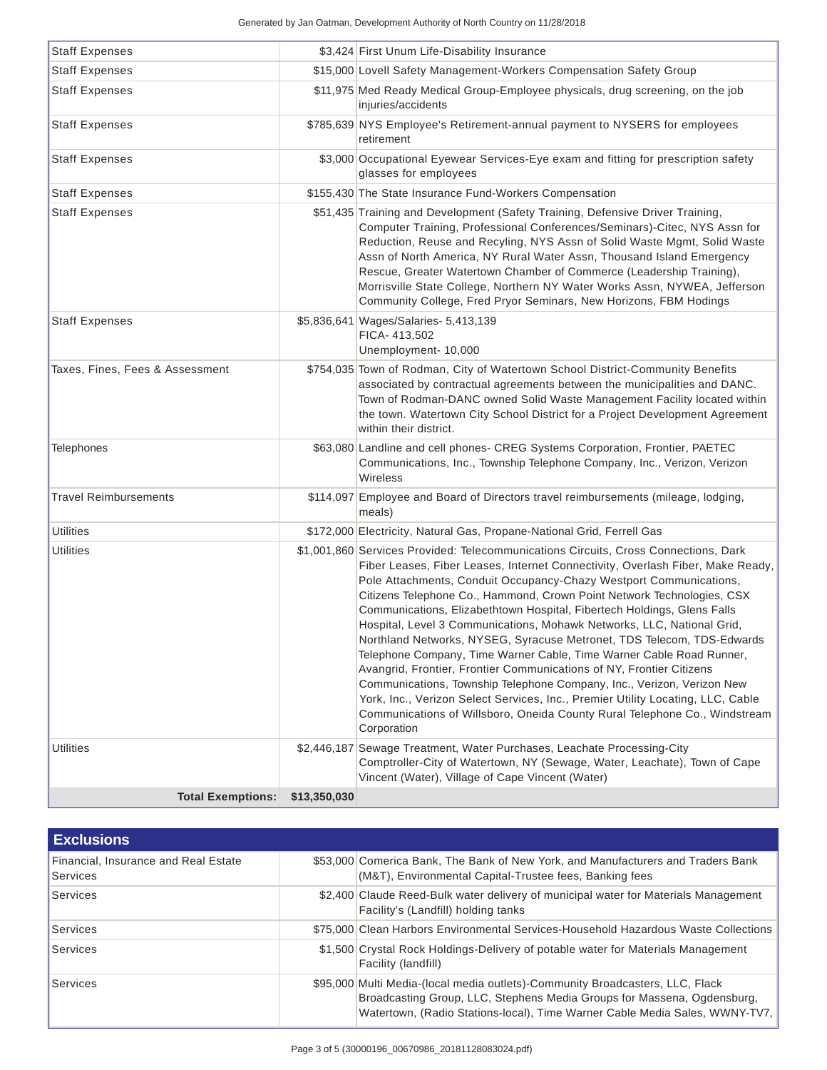| <b>Staff Expenses</b>           |              | \$3,424 First Unum Life-Disability Insurance                                                                                                                                                                                                                                                                                                                                                                                                                                                                                                                                                                                                                                                                                                                                                                                                                                                                                                                   |
|---------------------------------|--------------|----------------------------------------------------------------------------------------------------------------------------------------------------------------------------------------------------------------------------------------------------------------------------------------------------------------------------------------------------------------------------------------------------------------------------------------------------------------------------------------------------------------------------------------------------------------------------------------------------------------------------------------------------------------------------------------------------------------------------------------------------------------------------------------------------------------------------------------------------------------------------------------------------------------------------------------------------------------|
| <b>Staff Expenses</b>           |              | \$15,000 Lovell Safety Management-Workers Compensation Safety Group                                                                                                                                                                                                                                                                                                                                                                                                                                                                                                                                                                                                                                                                                                                                                                                                                                                                                            |
| <b>Staff Expenses</b>           |              | \$11,975 Med Ready Medical Group-Employee physicals, drug screening, on the job<br>injuries/accidents                                                                                                                                                                                                                                                                                                                                                                                                                                                                                                                                                                                                                                                                                                                                                                                                                                                          |
| <b>Staff Expenses</b>           |              | \$785,639 NYS Employee's Retirement-annual payment to NYSERS for employees<br>retirement                                                                                                                                                                                                                                                                                                                                                                                                                                                                                                                                                                                                                                                                                                                                                                                                                                                                       |
| <b>Staff Expenses</b>           |              | \$3,000 Occupational Eyewear Services-Eye exam and fitting for prescription safety<br>glasses for employees                                                                                                                                                                                                                                                                                                                                                                                                                                                                                                                                                                                                                                                                                                                                                                                                                                                    |
| <b>Staff Expenses</b>           |              | \$155,430 The State Insurance Fund-Workers Compensation                                                                                                                                                                                                                                                                                                                                                                                                                                                                                                                                                                                                                                                                                                                                                                                                                                                                                                        |
| <b>Staff Expenses</b>           |              | \$51,435 Training and Development (Safety Training, Defensive Driver Training,<br>Computer Training, Professional Conferences/Seminars)-Citec, NYS Assn for<br>Reduction, Reuse and Recyling, NYS Assn of Solid Waste Mgmt, Solid Waste<br>Assn of North America, NY Rural Water Assn, Thousand Island Emergency<br>Rescue, Greater Watertown Chamber of Commerce (Leadership Training),<br>Morrisville State College, Northern NY Water Works Assn, NYWEA, Jefferson<br>Community College, Fred Pryor Seminars, New Horizons, FBM Hodings                                                                                                                                                                                                                                                                                                                                                                                                                     |
| <b>Staff Expenses</b>           |              | \$5,836,641 Wages/Salaries- 5,413,139<br>FICA-413,502<br>Unemployment- 10,000                                                                                                                                                                                                                                                                                                                                                                                                                                                                                                                                                                                                                                                                                                                                                                                                                                                                                  |
| Taxes, Fines, Fees & Assessment |              | \$754,035 Town of Rodman, City of Watertown School District-Community Benefits<br>associated by contractual agreements between the municipalities and DANC.<br>Town of Rodman-DANC owned Solid Waste Management Facility located within<br>the town. Watertown City School District for a Project Development Agreement<br>within their district.                                                                                                                                                                                                                                                                                                                                                                                                                                                                                                                                                                                                              |
| <b>Telephones</b>               |              | \$63,080 Landline and cell phones- CREG Systems Corporation, Frontier, PAETEC<br>Communications, Inc., Township Telephone Company, Inc., Verizon, Verizon<br>Wireless                                                                                                                                                                                                                                                                                                                                                                                                                                                                                                                                                                                                                                                                                                                                                                                          |
| <b>Travel Reimbursements</b>    |              | \$114,097 Employee and Board of Directors travel reimbursements (mileage, lodging,<br>meals)                                                                                                                                                                                                                                                                                                                                                                                                                                                                                                                                                                                                                                                                                                                                                                                                                                                                   |
| <b>Utilities</b>                |              | \$172,000 Electricity, Natural Gas, Propane-National Grid, Ferrell Gas                                                                                                                                                                                                                                                                                                                                                                                                                                                                                                                                                                                                                                                                                                                                                                                                                                                                                         |
| <b>Utilities</b>                |              | \$1,001,860 Services Provided: Telecommunications Circuits, Cross Connections, Dark<br>Fiber Leases, Fiber Leases, Internet Connectivity, Overlash Fiber, Make Ready,<br>Pole Attachments, Conduit Occupancy-Chazy Westport Communications,<br>Citizens Telephone Co., Hammond, Crown Point Network Technologies, CSX<br>Communications, Elizabethtown Hospital, Fibertech Holdings, Glens Falls<br>Hospital, Level 3 Communications, Mohawk Networks, LLC, National Grid,<br>Northland Networks, NYSEG, Syracuse Metronet, TDS Telecom, TDS-Edwards<br>Telephone Company, Time Warner Cable, Time Warner Cable Road Runner,<br>Avangrid, Frontier, Frontier Communications of NY, Frontier Citizens<br>Communications, Township Telephone Company, Inc., Verizon, Verizon New<br>York, Inc., Verizon Select Services, Inc., Premier Utility Locating, LLC, Cable<br>Communications of Willsboro, Oneida County Rural Telephone Co., Windstream<br>Corporation |
| <b>Utilities</b>                |              | \$2,446,187 Sewage Treatment, Water Purchases, Leachate Processing-City<br>Comptroller-City of Watertown, NY (Sewage, Water, Leachate), Town of Cape<br>Vincent (Water), Village of Cape Vincent (Water)                                                                                                                                                                                                                                                                                                                                                                                                                                                                                                                                                                                                                                                                                                                                                       |
| <b>Total Exemptions:</b>        | \$13,350,030 |                                                                                                                                                                                                                                                                                                                                                                                                                                                                                                                                                                                                                                                                                                                                                                                                                                                                                                                                                                |

| <b>Exclusions</b>                                       |                                                                                                                                                                                                                                         |
|---------------------------------------------------------|-----------------------------------------------------------------------------------------------------------------------------------------------------------------------------------------------------------------------------------------|
| Financial, Insurance and Real Estate<br><b>Services</b> | \$53,000 Comerica Bank, The Bank of New York, and Manufacturers and Traders Bank<br>(M&T), Environmental Capital-Trustee fees, Banking fees                                                                                             |
| Services                                                | \$2,400 Claude Reed-Bulk water delivery of municipal water for Materials Management<br>Facility's (Landfill) holding tanks                                                                                                              |
| Services                                                | \$75,000 Clean Harbors Environmental Services-Household Hazardous Waste Collections                                                                                                                                                     |
| Services                                                | \$1,500 Crystal Rock Holdings-Delivery of potable water for Materials Management<br>Facility (landfill)                                                                                                                                 |
| Services                                                | \$95,000 Multi Media-(local media outlets)-Community Broadcasters, LLC, Flack<br>Broadcasting Group, LLC, Stephens Media Groups for Massena, Ogdensburg,<br>Watertown, (Radio Stations-local), Time Warner Cable Media Sales, WWNY-TV7, |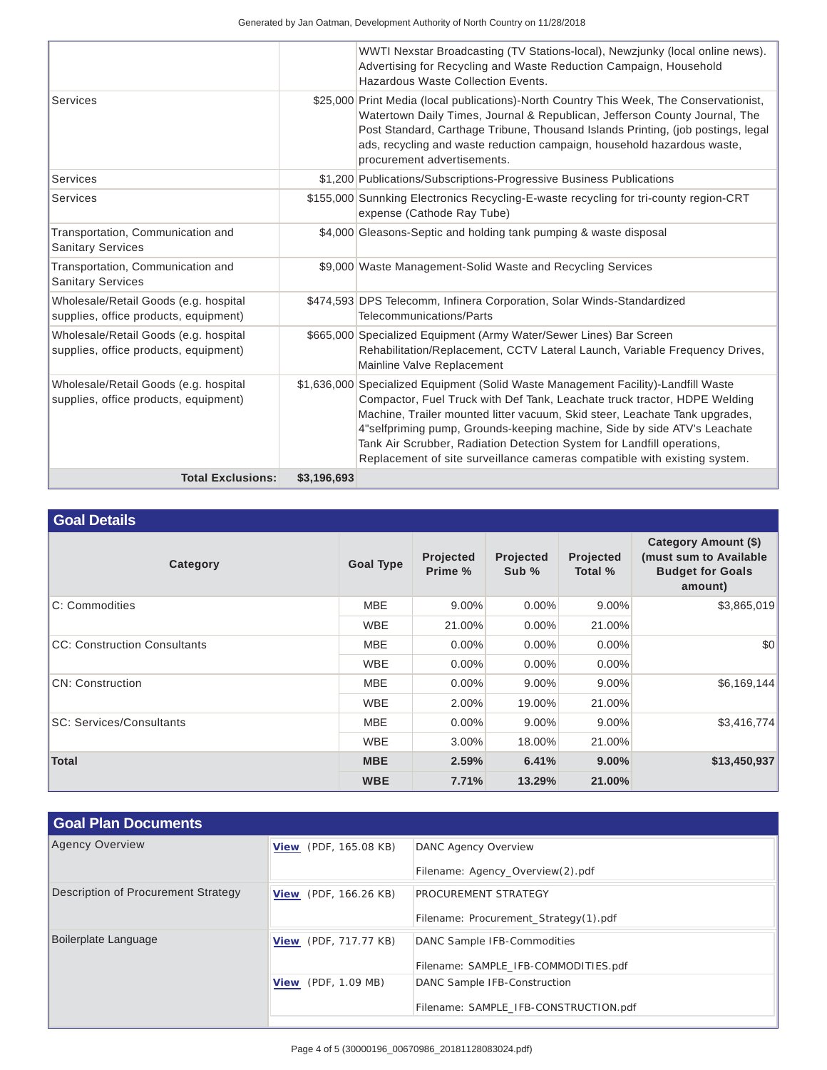Generated by Jan Oatman, Development Authority of North Country on 11/28/2018

|                                                                                |             | WWTI Nexstar Broadcasting (TV Stations-local), Newzjunky (local online news).<br>Advertising for Recycling and Waste Reduction Campaign, Household<br>Hazardous Waste Collection Events.                                                                                                                                                                                                                                                                                          |
|--------------------------------------------------------------------------------|-------------|-----------------------------------------------------------------------------------------------------------------------------------------------------------------------------------------------------------------------------------------------------------------------------------------------------------------------------------------------------------------------------------------------------------------------------------------------------------------------------------|
| Services                                                                       |             | \$25,000 Print Media (local publications)-North Country This Week, The Conservationist,<br>Watertown Daily Times, Journal & Republican, Jefferson County Journal, The<br>Post Standard, Carthage Tribune, Thousand Islands Printing, (job postings, legal<br>ads, recycling and waste reduction campaign, household hazardous waste,<br>procurement advertisements.                                                                                                               |
| Services                                                                       |             | \$1,200 Publications/Subscriptions-Progressive Business Publications                                                                                                                                                                                                                                                                                                                                                                                                              |
| Services                                                                       |             | \$155,000 Sunnking Electronics Recycling-E-waste recycling for tri-county region-CRT<br>expense (Cathode Ray Tube)                                                                                                                                                                                                                                                                                                                                                                |
| Transportation, Communication and<br><b>Sanitary Services</b>                  |             | \$4,000 Gleasons-Septic and holding tank pumping & waste disposal                                                                                                                                                                                                                                                                                                                                                                                                                 |
| Transportation, Communication and<br><b>Sanitary Services</b>                  |             | \$9,000 Waste Management-Solid Waste and Recycling Services                                                                                                                                                                                                                                                                                                                                                                                                                       |
| Wholesale/Retail Goods (e.g. hospital<br>supplies, office products, equipment) |             | \$474,593 DPS Telecomm, Infinera Corporation, Solar Winds-Standardized<br>Telecommunications/Parts                                                                                                                                                                                                                                                                                                                                                                                |
| Wholesale/Retail Goods (e.g. hospital<br>supplies, office products, equipment) |             | \$665,000 Specialized Equipment (Army Water/Sewer Lines) Bar Screen<br>Rehabilitation/Replacement, CCTV Lateral Launch, Variable Frequency Drives,<br>Mainline Valve Replacement                                                                                                                                                                                                                                                                                                  |
| Wholesale/Retail Goods (e.g. hospital<br>supplies, office products, equipment) |             | \$1,636,000 Specialized Equipment (Solid Waste Management Facility)-Landfill Waste<br>Compactor, Fuel Truck with Def Tank, Leachate truck tractor, HDPE Welding<br>Machine, Trailer mounted litter vacuum, Skid steer, Leachate Tank upgrades,<br>4"selfpriming pump, Grounds-keeping machine, Side by side ATV's Leachate<br>Tank Air Scrubber, Radiation Detection System for Landfill operations,<br>Replacement of site surveillance cameras compatible with existing system. |
| <b>Total Exclusions:</b>                                                       | \$3,196,693 |                                                                                                                                                                                                                                                                                                                                                                                                                                                                                   |

## **Goal Details**

| Category                            | <b>Goal Type</b> | Projected<br>Prime % | Projected<br>Sub % | Projected<br>Total % | Category Amount (\$)<br>(must sum to Available)<br><b>Budget for Goals</b><br>amount) |
|-------------------------------------|------------------|----------------------|--------------------|----------------------|---------------------------------------------------------------------------------------|
| C: Commodities                      | <b>MBE</b>       | 9.00%                | $0.00\%$           | 9.00%                | \$3,865,019                                                                           |
|                                     | <b>WBE</b>       | 21.00%               | $0.00\%$           | 21.00%               |                                                                                       |
| <b>CC: Construction Consultants</b> | <b>MBE</b>       | $0.00\%$             | $0.00\%$           | $0.00\%$             | \$0                                                                                   |
|                                     | <b>WBE</b>       | $0.00\%$             | $0.00\%$           | $0.00\%$             |                                                                                       |
| <b>CN: Construction</b>             | <b>MBE</b>       | $0.00\%$             | $9.00\%$           | $9.00\%$             | \$6,169,144                                                                           |
|                                     | <b>WBE</b>       | $2.00\%$             | 19.00%             | 21.00%               |                                                                                       |
| <b>SC: Services/Consultants</b>     | <b>MBE</b>       | $0.00\%$             | $9.00\%$           | $9.00\%$             | \$3,416,774                                                                           |
|                                     | <b>WBE</b>       | $3.00\%$             | 18.00%             | 21.00%               |                                                                                       |
| <b>Total</b>                        | <b>MBE</b>       | 2.59%                | 6.41%              | 9.00%                | \$13,450,937                                                                          |
|                                     | <b>WBE</b>       | 7.71%                | 13.29%             | 21.00%               |                                                                                       |

| <b>Goal Plan Documents</b>          |                              |                                       |
|-------------------------------------|------------------------------|---------------------------------------|
| <b>Agency Overview</b>              | <b>View</b> (PDF, 165.08 KB) | <b>DANC Agency Overview</b>           |
|                                     |                              | Filename: Agency_Overview(2).pdf      |
| Description of Procurement Strategy | <b>View</b> (PDF, 166.26 KB) | <b>PROCUREMENT STRATEGY</b>           |
|                                     |                              | Filename: Procurement Strategy(1).pdf |
| Boilerplate Language                | <b>View</b> (PDF, 717.77 KB) | DANC Sample IFB-Commodities           |
|                                     |                              | Filename: SAMPLE_IFB-COMMODITIES.pdf  |
|                                     | <b>View</b> (PDF, 1.09 MB)   | DANC Sample IFB-Construction          |
|                                     |                              | Filename: SAMPLE_IFB-CONSTRUCTION.pdf |
|                                     |                              |                                       |